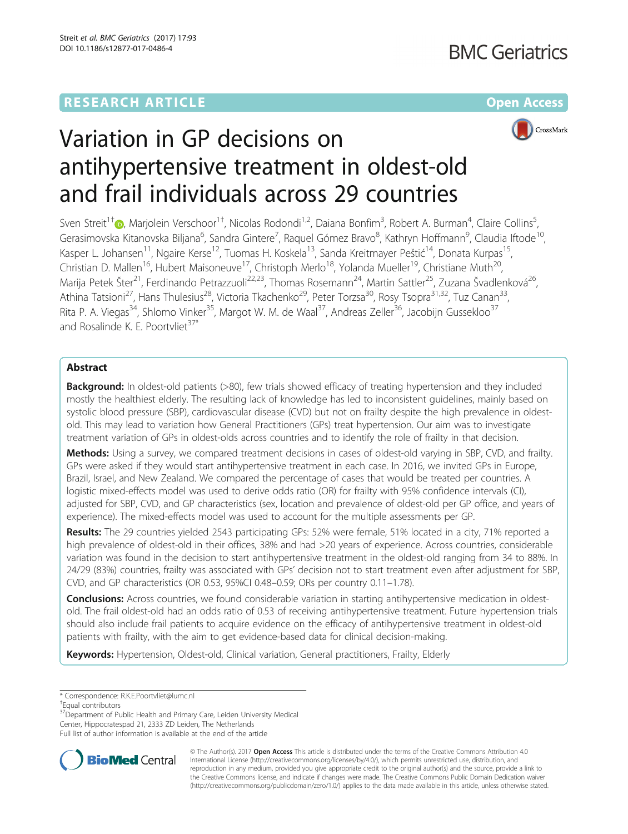## **RESEARCH ARTICLE Example 2014 12:30 The Community Community Community Community Community Community Community**



# Variation in GP decisions on antihypertensive treatment in oldest-old and frail individuals across 29 countries

Sven Streit<sup>1†</sup>®[,](http://orcid.org/0000-0002-3813-4616) Marjolein Verschoor<sup>1†</sup>, Nicolas Rodondi<sup>1,2</sup>, Daiana Bonfim<sup>3</sup>, Robert A. Burman<sup>4</sup>, Claire Collins<sup>5</sup> , Gerasimovska Kitanovska Biljana<sup>6</sup>, Sandra Gintere<sup>7</sup>, Raquel Gómez Bravo<sup>8</sup>, Kathryn Hoffmann<sup>9</sup>, Claudia Iftode<sup>10</sup>, Kasper L. Johansen<sup>11</sup>, Ngaire Kerse<sup>12</sup>, Tuomas H. Koskela<sup>13</sup>, Sanda Kreitmayer Peštić<sup>14</sup>, Donata Kurpas<sup>15</sup>, Christian D. Mallen<sup>16</sup>, Hubert Maisoneuve<sup>17</sup>, Christoph Merlo<sup>18</sup>, Yolanda Mueller<sup>19</sup>, Christiane Muth<sup>20</sup>, Marija Petek Šter<sup>21</sup>, Ferdinando Petrazzuoli<sup>22,23</sup>, Thomas Rosemann<sup>24</sup>, Martin Sattler<sup>25</sup>, Zuzana Švadlenková<sup>26</sup>, Athina Tatsioni<sup>27</sup>, Hans Thulesius<sup>28</sup>, Victoria Tkachenko<sup>29</sup>, Peter Torzsa<sup>30</sup>, Rosy Tsopra<sup>31,32</sup>, Tuz Canan<sup>33</sup>, Rita P. A. Viegas<sup>34</sup>, Shlomo Vinker<sup>35</sup>, Margot W. M. de Waal<sup>37</sup>, Andreas Zeller<sup>36</sup>, Jacobijn Gussekloo<sup>37</sup> and Rosalinde K. E. Poortvliet $37*$ 

### Abstract

Background: In oldest-old patients (>80), few trials showed efficacy of treating hypertension and they included mostly the healthiest elderly. The resulting lack of knowledge has led to inconsistent guidelines, mainly based on systolic blood pressure (SBP), cardiovascular disease (CVD) but not on frailty despite the high prevalence in oldestold. This may lead to variation how General Practitioners (GPs) treat hypertension. Our aim was to investigate treatment variation of GPs in oldest-olds across countries and to identify the role of frailty in that decision.

Methods: Using a survey, we compared treatment decisions in cases of oldest-old varying in SBP, CVD, and frailty. GPs were asked if they would start antihypertensive treatment in each case. In 2016, we invited GPs in Europe, Brazil, Israel, and New Zealand. We compared the percentage of cases that would be treated per countries. A logistic mixed-effects model was used to derive odds ratio (OR) for frailty with 95% confidence intervals (CI), adjusted for SBP, CVD, and GP characteristics (sex, location and prevalence of oldest-old per GP office, and years of experience). The mixed-effects model was used to account for the multiple assessments per GP.

Results: The 29 countries yielded 2543 participating GPs: 52% were female, 51% located in a city, 71% reported a high prevalence of oldest-old in their offices, 38% and had >20 years of experience. Across countries, considerable variation was found in the decision to start antihypertensive treatment in the oldest-old ranging from 34 to 88%. In 24/29 (83%) countries, frailty was associated with GPs' decision not to start treatment even after adjustment for SBP, CVD, and GP characteristics (OR 0.53, 95%CI 0.48–0.59; ORs per country 0.11–1.78).

**Conclusions:** Across countries, we found considerable variation in starting antihypertensive medication in oldestold. The frail oldest-old had an odds ratio of 0.53 of receiving antihypertensive treatment. Future hypertension trials should also include frail patients to acquire evidence on the efficacy of antihypertensive treatment in oldest-old patients with frailty, with the aim to get evidence-based data for clinical decision-making.

Keywords: Hypertension, Oldest-old, Clinical variation, General practitioners, Frailty, Elderly

<sup>T</sup>Equal contributors<br><sup>37</sup>Department of Public Health and Primary Care, Leiden University Medical Center, Hippocratespad 21, 2333 ZD Leiden, The Netherlands

Full list of author information is available at the end of the article



© The Author(s). 2017 **Open Access** This article is distributed under the terms of the Creative Commons Attribution 4.0 International License [\(http://creativecommons.org/licenses/by/4.0/](http://creativecommons.org/licenses/by/4.0/)), which permits unrestricted use, distribution, and reproduction in any medium, provided you give appropriate credit to the original author(s) and the source, provide a link to the Creative Commons license, and indicate if changes were made. The Creative Commons Public Domain Dedication waiver [\(http://creativecommons.org/publicdomain/zero/1.0/](http://creativecommons.org/publicdomain/zero/1.0/)) applies to the data made available in this article, unless otherwise stated.

<sup>\*</sup> Correspondence: [R.K.E.Poortvliet@lumc.nl](mailto:R.K.E.Poortvliet@lumc.nl) †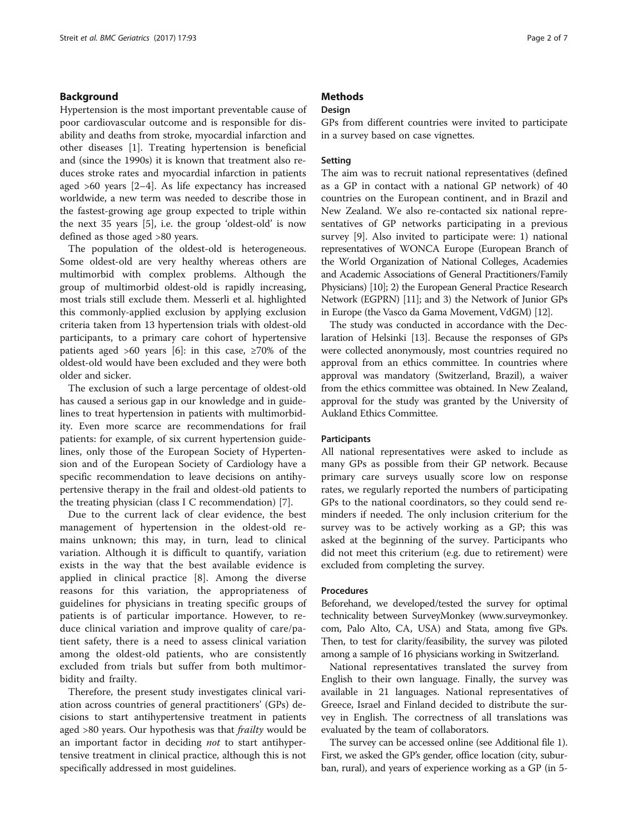#### Background

Hypertension is the most important preventable cause of poor cardiovascular outcome and is responsible for disability and deaths from stroke, myocardial infarction and other diseases [\[1](#page-6-0)]. Treating hypertension is beneficial and (since the 1990s) it is known that treatment also reduces stroke rates and myocardial infarction in patients aged >60 years [\[2](#page-6-0)–[4](#page-6-0)]. As life expectancy has increased worldwide, a new term was needed to describe those in the fastest-growing age group expected to triple within the next 35 years [\[5](#page-6-0)], i.e. the group 'oldest-old' is now defined as those aged >80 years.

The population of the oldest-old is heterogeneous. Some oldest-old are very healthy whereas others are multimorbid with complex problems. Although the group of multimorbid oldest-old is rapidly increasing, most trials still exclude them. Messerli et al. highlighted this commonly-applied exclusion by applying exclusion criteria taken from 13 hypertension trials with oldest-old participants, to a primary care cohort of hypertensive patients aged >60 years [\[6](#page-6-0)]: in this case,  $\geq 70\%$  of the oldest-old would have been excluded and they were both older and sicker.

The exclusion of such a large percentage of oldest-old has caused a serious gap in our knowledge and in guidelines to treat hypertension in patients with multimorbidity. Even more scarce are recommendations for frail patients: for example, of six current hypertension guidelines, only those of the European Society of Hypertension and of the European Society of Cardiology have a specific recommendation to leave decisions on antihypertensive therapy in the frail and oldest-old patients to the treating physician (class I C recommendation) [[7\]](#page-6-0).

Due to the current lack of clear evidence, the best management of hypertension in the oldest-old remains unknown; this may, in turn, lead to clinical variation. Although it is difficult to quantify, variation exists in the way that the best available evidence is applied in clinical practice [\[8](#page-6-0)]. Among the diverse reasons for this variation, the appropriateness of guidelines for physicians in treating specific groups of patients is of particular importance. However, to reduce clinical variation and improve quality of care/patient safety, there is a need to assess clinical variation among the oldest-old patients, who are consistently excluded from trials but suffer from both multimorbidity and frailty.

Therefore, the present study investigates clinical variation across countries of general practitioners' (GPs) decisions to start antihypertensive treatment in patients aged >80 years. Our hypothesis was that *frailty* would be an important factor in deciding *not* to start antihypertensive treatment in clinical practice, although this is not specifically addressed in most guidelines.

#### **Methods**

#### Design

GPs from different countries were invited to participate in a survey based on case vignettes.

#### Setting

The aim was to recruit national representatives (defined as a GP in contact with a national GP network) of 40 countries on the European continent, and in Brazil and New Zealand. We also re-contacted six national representatives of GP networks participating in a previous survey [[9](#page-6-0)]. Also invited to participate were: 1) national representatives of WONCA Europe (European Branch of the World Organization of National Colleges, Academies and Academic Associations of General Practitioners/Family Physicians) [[10](#page-6-0)]; 2) the European General Practice Research Network (EGPRN) [\[11\]](#page-6-0); and 3) the Network of Junior GPs in Europe (the Vasco da Gama Movement, VdGM) [\[12](#page-6-0)].

The study was conducted in accordance with the Declaration of Helsinki [\[13\]](#page-6-0). Because the responses of GPs were collected anonymously, most countries required no approval from an ethics committee. In countries where approval was mandatory (Switzerland, Brazil), a waiver from the ethics committee was obtained. In New Zealand, approval for the study was granted by the University of Aukland Ethics Committee.

#### **Participants**

All national representatives were asked to include as many GPs as possible from their GP network. Because primary care surveys usually score low on response rates, we regularly reported the numbers of participating GPs to the national coordinators, so they could send reminders if needed. The only inclusion criterium for the survey was to be actively working as a GP; this was asked at the beginning of the survey. Participants who did not meet this criterium (e.g. due to retirement) were excluded from completing the survey.

#### Procedures

Beforehand, we developed/tested the survey for optimal technicality between SurveyMonkey [\(www.surveymonkey.](http://www.surveymonkey.com) [com,](http://www.surveymonkey.com) Palo Alto, CA, USA) and Stata, among five GPs. Then, to test for clarity/feasibility, the survey was piloted among a sample of 16 physicians working in Switzerland.

National representatives translated the survey from English to their own language. Finally, the survey was available in 21 languages. National representatives of Greece, Israel and Finland decided to distribute the survey in English. The correctness of all translations was evaluated by the team of collaborators.

The survey can be accessed online (see Additional file [1](#page-5-0)). First, we asked the GP's gender, office location (city, suburban, rural), and years of experience working as a GP (in 5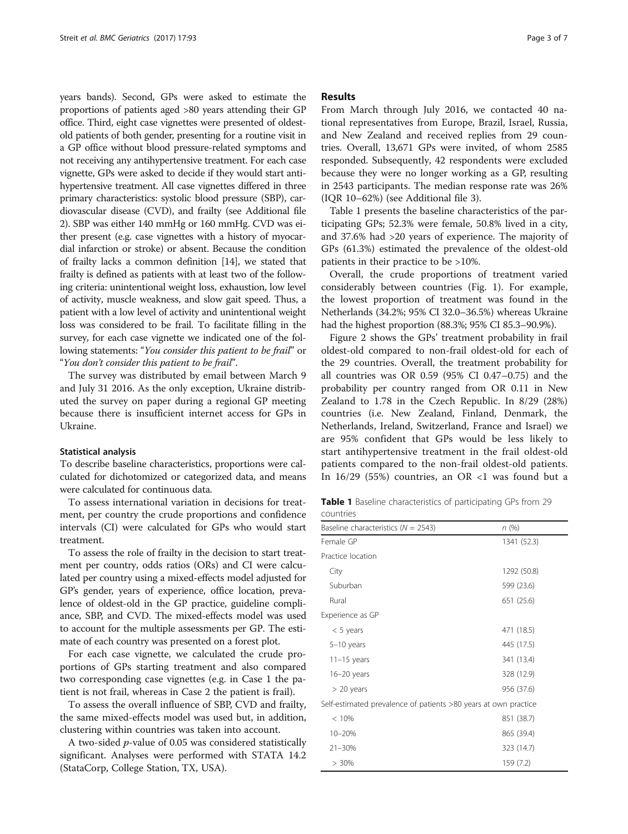years bands). Second, GPs were asked to estimate the proportions of patients aged >80 years attending their GP office. Third, eight case vignettes were presented of oldestold patients of both gender, presenting for a routine visit in a GP office without blood pressure-related symptoms and not receiving any antihypertensive treatment. For each case vignette, GPs were asked to decide if they would start antihypertensive treatment. All case vignettes differed in three primary characteristics: systolic blood pressure (SBP), cardiovascular disease (CVD), and frailty (see Additional file [2](#page-5-0)). SBP was either 140 mmHg or 160 mmHg. CVD was either present (e.g. case vignettes with a history of myocardial infarction or stroke) or absent. Because the condition of frailty lacks a common definition [\[14\]](#page-6-0), we stated that frailty is defined as patients with at least two of the following criteria: unintentional weight loss, exhaustion, low level of activity, muscle weakness, and slow gait speed. Thus, a patient with a low level of activity and unintentional weight loss was considered to be frail. To facilitate filling in the survey, for each case vignette we indicated one of the following statements: "You consider this patient to be frail" or "You don't consider this patient to be frail".

The survey was distributed by email between March 9 and July 31 2016. As the only exception, Ukraine distributed the survey on paper during a regional GP meeting because there is insufficient internet access for GPs in Ukraine.

#### Statistical analysis

To describe baseline characteristics, proportions were calculated for dichotomized or categorized data, and means were calculated for continuous data.

To assess international variation in decisions for treatment, per country the crude proportions and confidence intervals (CI) were calculated for GPs who would start treatment.

To assess the role of frailty in the decision to start treatment per country, odds ratios (ORs) and CI were calculated per country using a mixed-effects model adjusted for GP's gender, years of experience, office location, prevalence of oldest-old in the GP practice, guideline compliance, SBP, and CVD. The mixed-effects model was used to account for the multiple assessments per GP. The estimate of each country was presented on a forest plot.

For each case vignette, we calculated the crude proportions of GPs starting treatment and also compared two corresponding case vignettes (e.g. in Case 1 the patient is not frail, whereas in Case 2 the patient is frail).

To assess the overall influence of SBP, CVD and frailty, the same mixed-effects model was used but, in addition, clustering within countries was taken into account.

A two-sided p-value of 0.05 was considered statistically significant. Analyses were performed with STATA 14.2 (StataCorp, College Station, TX, USA).

#### Results

From March through July 2016, we contacted 40 national representatives from Europe, Brazil, Israel, Russia, and New Zealand and received replies from 29 countries. Overall, 13,671 GPs were invited, of whom 2585 responded. Subsequently, 42 respondents were excluded because they were no longer working as a GP, resulting in 2543 participants. The median response rate was 26% (IQR 10–62%) (see Additional file [3](#page-5-0)).

Table 1 presents the baseline characteristics of the participating GPs; 52.3% were female, 50.8% lived in a city, and 37.6% had >20 years of experience. The majority of GPs (61.3%) estimated the prevalence of the oldest-old patients in their practice to be >10%.

Overall, the crude proportions of treatment varied considerably between countries (Fig. [1](#page-3-0)). For example, the lowest proportion of treatment was found in the Netherlands (34.2%; 95% CI 32.0–36.5%) whereas Ukraine had the highest proportion (88.3%; 95% CI 85.3–90.9%).

Figure [2](#page-3-0) shows the GPs' treatment probability in frail oldest-old compared to non-frail oldest-old for each of the 29 countries. Overall, the treatment probability for all countries was OR 0.59 (95% CI 0.47–0.75) and the probability per country ranged from OR 0.11 in New Zealand to 1.78 in the Czech Republic. In 8/29 (28%) countries (i.e. New Zealand, Finland, Denmark, the Netherlands, Ireland, Switzerland, France and Israel) we are 95% confident that GPs would be less likely to start antihypertensive treatment in the frail oldest-old patients compared to the non-frail oldest-old patients. In  $16/29$  (55%) countries, an OR <1 was found but a

Table 1 Baseline characteristics of participating GPs from 29 countries

| Baseline characteristics ( $N = 2543$ )                         | n(%)        |  |  |  |
|-----------------------------------------------------------------|-------------|--|--|--|
| Female GP                                                       | 1341 (52.3) |  |  |  |
| Practice location                                               |             |  |  |  |
| City                                                            | 1292 (50.8) |  |  |  |
| Suburban                                                        | 599 (23.6)  |  |  |  |
| Rural                                                           | 651 (25.6)  |  |  |  |
| Experience as GP                                                |             |  |  |  |
| $<$ 5 years                                                     | 471 (18.5)  |  |  |  |
| $5-10$ years                                                    | 445 (17.5)  |  |  |  |
| $11-15$ years                                                   | 341 (13.4)  |  |  |  |
| $16 - 20$ years                                                 | 328 (12.9)  |  |  |  |
| $> 20$ years                                                    | 956 (37.6)  |  |  |  |
| Self-estimated prevalence of patients >80 years at own practice |             |  |  |  |
| < 10%                                                           | 851 (38.7)  |  |  |  |
| 10-20%                                                          | 865 (39.4)  |  |  |  |
| $21 - 30%$                                                      | 323 (14.7)  |  |  |  |
| >30%                                                            | 159 (7.2)   |  |  |  |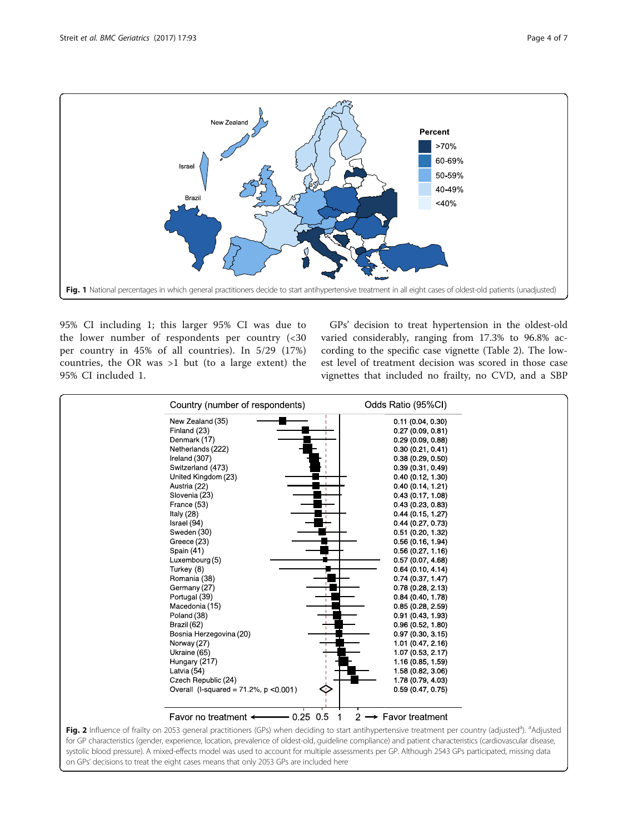<span id="page-3-0"></span>

95% CI including 1; this larger 95% CI was due to the lower number of respondents per country (<30 per country in 45% of all countries). In 5/29 (17%) countries, the OR was >1 but (to a large extent) the 95% CI included 1.

GPs' decision to treat hypertension in the oldest-old varied considerably, ranging from 17.3% to 96.8% according to the specific case vignette (Table [2\)](#page-4-0). The lowest level of treatment decision was scored in those case vignettes that included no frailty, no CVD, and a SBP



Fig. 2 Influence of frailty on 2053 general practitioners (GPs) when deciding to start antihypertensive treatment per country (adjusted<sup>a</sup>). <sup>a</sup>Adjusted for GP characteristics (gender, experience, location, prevalence of oldest-old, guideline compliance) and patient characteristics (cardiovascular disease, systolic blood pressure). A mixed-effects model was used to account for multiple assessments per GP. Although 2543 GPs participated, missing data on GPs' decisions to treat the eight cases means that only 2053 GPs are included here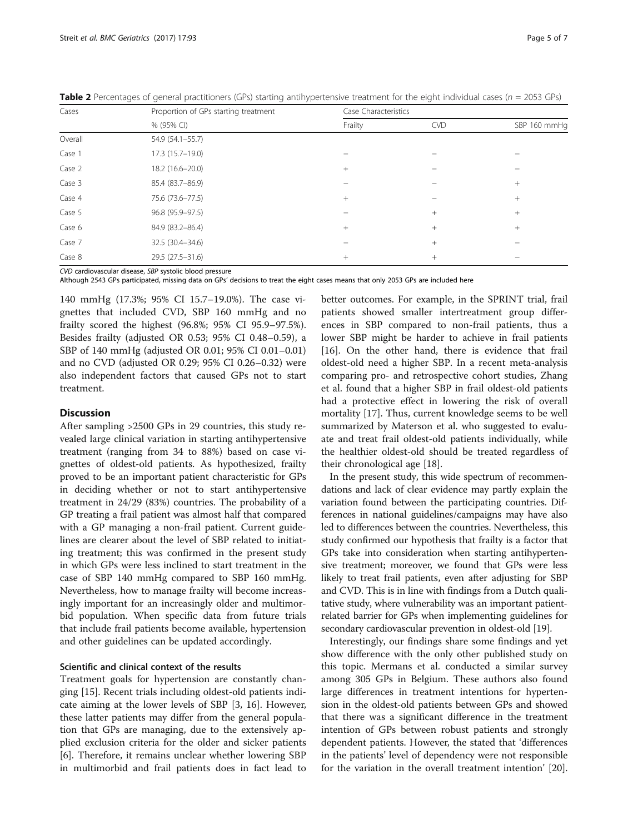| Cases   | Proportion of GPs starting treatment<br>% (95% CI) | Case Characteristics |            |              |
|---------|----------------------------------------------------|----------------------|------------|--------------|
|         |                                                    | Frailty              | <b>CVD</b> | SBP 160 mmHq |
| Overall | 54.9 (54.1-55.7)                                   |                      |            |              |
| Case 1  | $17.3(15.7-19.0)$                                  |                      |            |              |
| Case 2  | 18.2 (16.6-20.0)                                   | $+$                  |            |              |
| Case 3  | 85.4 (83.7-86.9)                                   |                      |            | $+$          |
| Case 4  | 75.6 (73.6-77.5)                                   | $^{+}$               |            | $+$          |
| Case 5  | 96.8 (95.9-97.5)                                   |                      | $^{+}$     | $+$          |
| Case 6  | 84.9 (83.2-86.4)                                   | $^{+}$               | $^{+}$     | $+$          |
| Case 7  | 32.5 (30.4-34.6)                                   |                      | $^{+}$     |              |
| Case 8  | 29.5 (27.5 - 31.6)                                 | $^{+}$               | $^{+}$     |              |
|         |                                                    |                      |            |              |

<span id="page-4-0"></span>**Table 2** Percentages of general practitioners (GPs) starting antihypertensive treatment for the eight individual cases ( $n = 2053$  GPs)

CVD cardiovascular disease, SBP systolic blood pressure

Although 2543 GPs participated, missing data on GPs' decisions to treat the eight cases means that only 2053 GPs are included here

140 mmHg (17.3%; 95% CI 15.7–19.0%). The case vignettes that included CVD, SBP 160 mmHg and no frailty scored the highest (96.8%; 95% CI 95.9–97.5%). Besides frailty (adjusted OR 0.53; 95% CI 0.48–0.59), a SBP of 140 mmHg (adjusted OR 0.01; 95% CI 0.01–0.01) and no CVD (adjusted OR 0.29; 95% CI 0.26–0.32) were also independent factors that caused GPs not to start treatment.

#### **Discussion**

After sampling >2500 GPs in 29 countries, this study revealed large clinical variation in starting antihypertensive treatment (ranging from 34 to 88%) based on case vignettes of oldest-old patients. As hypothesized, frailty proved to be an important patient characteristic for GPs in deciding whether or not to start antihypertensive treatment in 24/29 (83%) countries. The probability of a GP treating a frail patient was almost half that compared with a GP managing a non-frail patient. Current guidelines are clearer about the level of SBP related to initiating treatment; this was confirmed in the present study in which GPs were less inclined to start treatment in the case of SBP 140 mmHg compared to SBP 160 mmHg. Nevertheless, how to manage frailty will become increasingly important for an increasingly older and multimorbid population. When specific data from future trials that include frail patients become available, hypertension and other guidelines can be updated accordingly.

#### Scientific and clinical context of the results

Treatment goals for hypertension are constantly changing [\[15\]](#page-6-0). Recent trials including oldest-old patients indicate aiming at the lower levels of SBP [[3, 16](#page-6-0)]. However, these latter patients may differ from the general population that GPs are managing, due to the extensively applied exclusion criteria for the older and sicker patients [[6\]](#page-6-0). Therefore, it remains unclear whether lowering SBP in multimorbid and frail patients does in fact lead to

better outcomes. For example, in the SPRINT trial, frail patients showed smaller intertreatment group differences in SBP compared to non-frail patients, thus a lower SBP might be harder to achieve in frail patients [[16\]](#page-6-0). On the other hand, there is evidence that frail oldest-old need a higher SBP. In a recent meta-analysis comparing pro- and retrospective cohort studies, Zhang et al. found that a higher SBP in frail oldest-old patients had a protective effect in lowering the risk of overall mortality [[17\]](#page-6-0). Thus, current knowledge seems to be well summarized by Materson et al. who suggested to evaluate and treat frail oldest-old patients individually, while the healthier oldest-old should be treated regardless of their chronological age [[18](#page-6-0)].

In the present study, this wide spectrum of recommendations and lack of clear evidence may partly explain the variation found between the participating countries. Differences in national guidelines/campaigns may have also led to differences between the countries. Nevertheless, this study confirmed our hypothesis that frailty is a factor that GPs take into consideration when starting antihypertensive treatment; moreover, we found that GPs were less likely to treat frail patients, even after adjusting for SBP and CVD. This is in line with findings from a Dutch qualitative study, where vulnerability was an important patientrelated barrier for GPs when implementing guidelines for secondary cardiovascular prevention in oldest-old [[19](#page-6-0)].

Interestingly, our findings share some findings and yet show difference with the only other published study on this topic. Mermans et al. conducted a similar survey among 305 GPs in Belgium. These authors also found large differences in treatment intentions for hypertension in the oldest-old patients between GPs and showed that there was a significant difference in the treatment intention of GPs between robust patients and strongly dependent patients. However, the stated that 'differences in the patients' level of dependency were not responsible for the variation in the overall treatment intention' [\[20](#page-6-0)].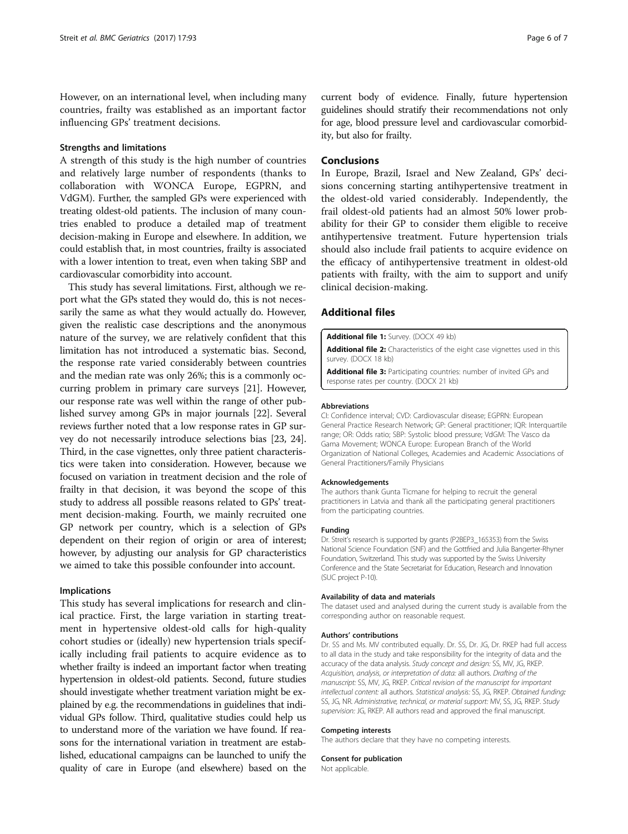<span id="page-5-0"></span>However, on an international level, when including many countries, frailty was established as an important factor influencing GPs' treatment decisions.

#### Strengths and limitations

A strength of this study is the high number of countries and relatively large number of respondents (thanks to collaboration with WONCA Europe, EGPRN, and VdGM). Further, the sampled GPs were experienced with treating oldest-old patients. The inclusion of many countries enabled to produce a detailed map of treatment decision-making in Europe and elsewhere. In addition, we could establish that, in most countries, frailty is associated with a lower intention to treat, even when taking SBP and cardiovascular comorbidity into account.

This study has several limitations. First, although we report what the GPs stated they would do, this is not necessarily the same as what they would actually do. However, given the realistic case descriptions and the anonymous nature of the survey, we are relatively confident that this limitation has not introduced a systematic bias. Second, the response rate varied considerably between countries and the median rate was only 26%; this is a commonly occurring problem in primary care surveys [\[21\]](#page-6-0). However, our response rate was well within the range of other published survey among GPs in major journals [\[22\]](#page-6-0). Several reviews further noted that a low response rates in GP survey do not necessarily introduce selections bias [\[23, 24](#page-6-0)]. Third, in the case vignettes, only three patient characteristics were taken into consideration. However, because we focused on variation in treatment decision and the role of frailty in that decision, it was beyond the scope of this study to address all possible reasons related to GPs' treatment decision-making. Fourth, we mainly recruited one GP network per country, which is a selection of GPs dependent on their region of origin or area of interest; however, by adjusting our analysis for GP characteristics we aimed to take this possible confounder into account.

#### Implications

This study has several implications for research and clinical practice. First, the large variation in starting treatment in hypertensive oldest-old calls for high-quality cohort studies or (ideally) new hypertension trials specifically including frail patients to acquire evidence as to whether frailty is indeed an important factor when treating hypertension in oldest-old patients. Second, future studies should investigate whether treatment variation might be explained by e.g. the recommendations in guidelines that individual GPs follow. Third, qualitative studies could help us to understand more of the variation we have found. If reasons for the international variation in treatment are established, educational campaigns can be launched to unify the quality of care in Europe (and elsewhere) based on the

current body of evidence. Finally, future hypertension guidelines should stratify their recommendations not only for age, blood pressure level and cardiovascular comorbidity, but also for frailty.

#### **Conclusions**

In Europe, Brazil, Israel and New Zealand, GPs' decisions concerning starting antihypertensive treatment in the oldest-old varied considerably. Independently, the frail oldest-old patients had an almost 50% lower probability for their GP to consider them eligible to receive antihypertensive treatment. Future hypertension trials should also include frail patients to acquire evidence on the efficacy of antihypertensive treatment in oldest-old patients with frailty, with the aim to support and unify clinical decision-making.

#### Additional files

[Additional file 1:](dx.doi.org/10.1186/s12877-017-0486-4) Survey. (DOCX 49 kb)

[Additional file 2:](dx.doi.org/10.1186/s12877-017-0486-4) Characteristics of the eight case vignettes used in this survey. (DOCX 18 kb)

[Additional file 3:](dx.doi.org/10.1186/s12877-017-0486-4) Participating countries: number of invited GPs and response rates per country. (DOCX 21 kb)

#### Abbreviations

CI: Confidence interval; CVD: Cardiovascular disease; EGPRN: European General Practice Research Network; GP: General practitioner; IQR: Interquartile range; OR: Odds ratio; SBP: Systolic blood pressure; VdGM: The Vasco da Gama Movement; WONCA Europe: European Branch of the World Organization of National Colleges, Academies and Academic Associations of General Practitioners/Family Physicians

#### Acknowledgements

The authors thank Gunta Ticmane for helping to recruit the general practitioners in Latvia and thank all the participating general practitioners from the participating countries.

#### Funding

Dr. Streit's research is supported by grants (P2BEP3\_165353) from the Swiss National Science Foundation (SNF) and the Gottfried and Julia Bangerter-Rhyner Foundation, Switzerland. This study was supported by the Swiss University Conference and the State Secretariat for Education, Research and Innovation (SUC project P-10).

#### Availability of data and materials

The dataset used and analysed during the current study is available from the corresponding author on reasonable request.

#### Authors' contributions

Dr. SS and Ms. MV contributed equally. Dr. SS, Dr. JG, Dr. RKEP had full access to all data in the study and take responsibility for the integrity of data and the accuracy of the data analysis. Study concept and design: SS, MV, JG, RKEP. Acquisition, analysis, or interpretation of data: all authors. Drafting of the manuscript: SS, MV, JG, RKEP. Critical revision of the manuscript for important intellectual content: all authors. Statistical analysis: SS, JG, RKEP. Obtained funding: SS, JG, NR. Administrative, technical, or material support: MV, SS, JG, RKEP. Study supervision: JG, RKEP. All authors read and approved the final manuscript.

#### Competing interests

The authors declare that they have no competing interests.

#### Consent for publication

Not applicable.